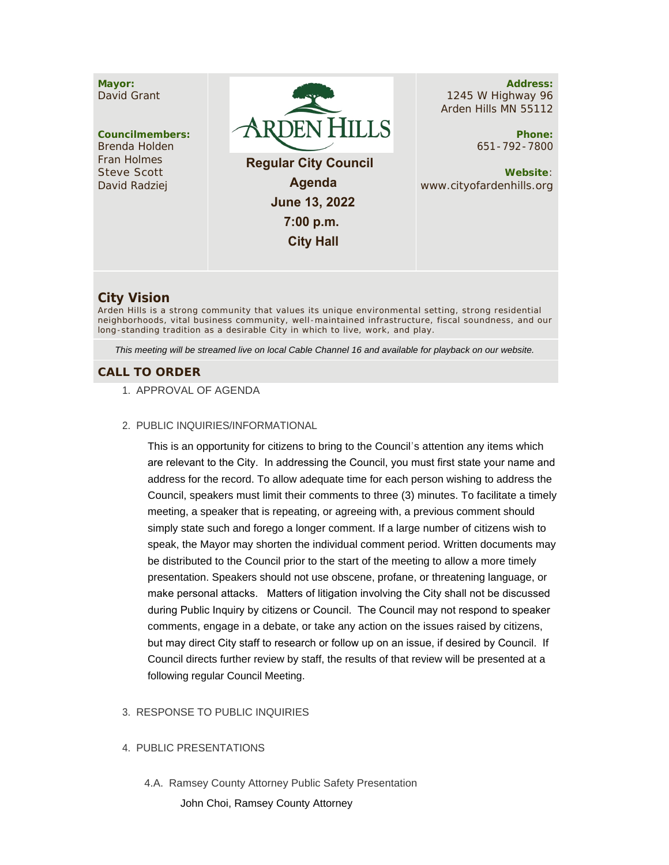

# **City Vision**

Arden Hills is a strong community that values its unique environmental setting, strong residential neighborhoods, vital business community, well -maintained infrastructure, fiscal soundness, and our long-standing tradition as a desirable City in which to live, work, and play.

*This meeting will be streamed live on local Cable Channel 16 and available for playback on our website.*

## **CALL TO ORDER**

- 1. APPROVAL OF AGENDA
- PUBLIC INQUIRIES/INFORMATIONAL 2.

This is an opportunity for citizens to bring to the Council's attention any items which are relevant to the City. In addressing the Council, you must first state your name and address for the record. To allow adequate time for each person wishing to address the Council, speakers must limit their comments to three (3) minutes. To facilitate a timely meeting, a speaker that is repeating, or agreeing with, a previous comment should simply state such and forego a longer comment. If a large number of citizens wish to speak, the Mayor may shorten the individual comment period. Written documents may be distributed to the Council prior to the start of the meeting to allow a more timely presentation. Speakers should not use obscene, profane, or threatening language, or make personal attacks. Matters of litigation involving the City shall not be discussed during Public Inquiry by citizens or Council. The Council may not respond to speaker comments, engage in a debate, or take any action on the issues raised by citizens, but may direct City staff to research or follow up on an issue, if desired by Council. If Council directs further review by staff, the results of that review will be presented at a following regular Council Meeting.

#### 3. RESPONSE TO PUBLIC INQUIRIES

#### 4. PUBLIC PRESENTATIONS

4.A. Ramsey County Attorney Public Safety Presentation

John Choi, Ramsey County Attorney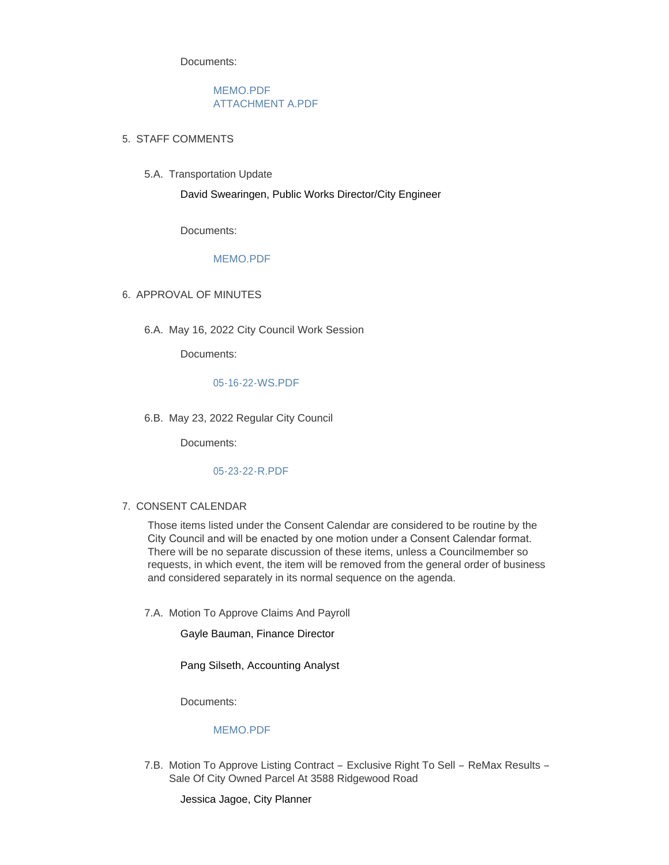Documents:

[MEMO.PDF](https://www.cityofardenhills.org/AgendaCenter/ViewFile/Item/9011?fileID=13946) [ATTACHMENT A.PDF](https://www.cityofardenhills.org/AgendaCenter/ViewFile/Item/9011?fileID=13931)

- STAFF COMMENTS 5.
	- 5.A. Transportation Update

David Swearingen, Public Works Director/City Engineer

Documents:

### [MEMO.PDF](https://www.cityofardenhills.org/AgendaCenter/ViewFile/Item/9006?fileID=13928)

- 6. APPROVAL OF MINUTES
	- 6.A. May 16, 2022 City Council Work Session

Documents:

#### [05-16-22-WS.PDF](https://www.cityofardenhills.org/AgendaCenter/ViewFile/Item/9007?fileID=13929)

6.B. May 23, 2022 Regular City Council

Documents:

# [05-23-22-R.PDF](https://www.cityofardenhills.org/AgendaCenter/ViewFile/Item/9014?fileID=13942)

### 7. CONSENT CALENDAR

Those items listed under the Consent Calendar are considered to be routine by the City Council and will be enacted by one motion under a Consent Calendar format. There will be no separate discussion of these items, unless a Councilmember so requests, in which event, the item will be removed from the general order of business and considered separately in its normal sequence on the agenda.

7.A. Motion To Approve Claims And Payroll

Gayle Bauman, Finance Director

Pang Silseth, Accounting Analyst

Documents:

## [MEMO.PDF](https://www.cityofardenhills.org/AgendaCenter/ViewFile/Item/9008?fileID=13930)

7.B. Motion To Approve Listing Contract - Exclusive Right To Sell - ReMax Results -Sale Of City Owned Parcel At 3588 Ridgewood Road

Jessica Jagoe, City Planner